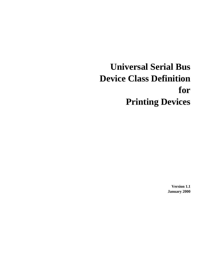# **Universal Serial Bus Device Class Definition for Printing Devices**

**Version 1.1 January 2000**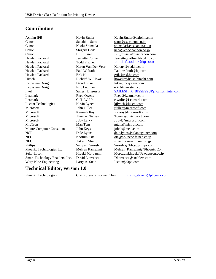## **Contributors**

Axiohn IPB Kevin Butler Kevin.Butler@axiohm.com Canon Sadahiko Sano sano@cse.canon.co.jp Canon Naoki Shimada shimada@cbs.canon.co.jp Canon Shigeru Ueda ueda@cpdc.cannon.co.jp Canon Bill Russell Bill\_russel@cissc.canon.com Hewlett Packard Jeanette Coffren Jeanette coffren@vcd.hp.com Hewlett Packard Todd Fischer todd\_fischer@hp.com Hewlett Packard Karen Van Der Veer Karenv@vcd.hp.com Hewlett Packard Paul Walrath Paul Walrath Paul\_walrath@hp.com Hewlett Packard Erik Kilk erik@vcd.hp.com Hitachi Richard W. Howell howellr@halsp.hitachi.com In-System Design David Luke luke@in-system.com In-System Design Eric Luttmann eric@in-system.com Lexmark Reed Owens Reed@Lexmark.com Lexmark C. T. Wolfe ctwolfe@Lexmark.com Lucent Technologies Kevin Lynch kilynch@lucent.com Microsoft John Fuller jfuller@microsoft.com Microsoft Kenneth Ray Kenneth Ray Kenray@microsoft.com Microsoft Thomas Nielsen Tomnie@microsoft.com Microsoft Joby Lafky Jobyl@microsoft.com MicTron Man Tam mtam@mictron.com Moore Computer Consultants John Keys johnk@mcci.com NCR Dale Lyons dale.lyons@atlantaga.ncr.com NEC Naofumi Ota ota <u>Ota Pr2.neec.fc.nec.co.jp</u> NEC Takeshi Shinjo snj@pr2.neec.fc.nec.co.jp Philips Sampath Suresh Suresh.s@blr.sc.philips.com Phoenix Technologies Ltd. Mehran Ramezani Mehran Ramezani@Phoenix.Com Seko-Epson Hideki Morozumi Morozumi.hideki@exc.epson.co.jp Smart Technology Enablers, Inc. David Lawrence Dlawrence@enablers.com Warp Nine Engineering Larry A. Stein Larry Lstein@fapo.com

Intel Sailesh Bissessur SAILESH\_X\_BISSESSUR@ccm.ch.intel.com

## **Technical Editor, version 1.0**

Phoenix Technologies Curtis Stevens, former Chair curtis\_stevens@phoenix.com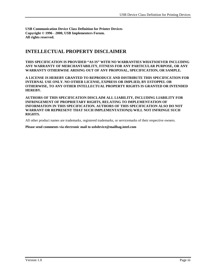**USB Communication Device Class Definition for Printer Devices Copyright © 1996 - 2000, USB Implementers Forum. All rights reserved.**

## **INTELLECTUAL PROPERTY DISCLAIMER**

**THIS SPECIFICATION IS PROVIDED "AS IS" WITH NO WARRANTIES WHATSOEVER INCLUDING ANY WARRANTY OF MERCHANTABILITY, FITNESS FOR ANY PARTICULAR PURPOSE, OR ANY WARRANTY OTHERWISE ARISING OUT OF ANY PROPOSAL, SPECIFICATION, OR SAMPLE.**

**A LICENSE IS HEREBY GRANTED TO REPRODUCE AND DISTRIBUTE THIS SPECIFICATION FOR INTERNAL USE ONLY. NO OTHER LICENSE, EXPRESS OR IMPLIED, BY ESTOPPEL OR OTHERWISE, TO ANY OTHER INTELLECTUAL PROPERTY RIGHTS IS GRANTED OR INTENDED HEREBY.**

**AUTHORS OF THIS SPECIFICATION DISCLAIM ALL LIABILITY, INCLUDING LIABILITY FOR INFRINGEMENT OF PROPRIETARY RIGHTS, RELATING TO IMPLEMENTATION OF INFORMATION IN THIS SPECIFICATION. AUTHORS OF THIS SPECIFICATION ALSO DO NOT WARRANT OR REPRESENT THAT SUCH IMPLEMENTATION(S) WILL NOT INFRINGE SUCH RIGHTS.**

All other product names are trademarks, registered trademarks, or servicemarks of their respective owners.

**Please send comments via electronic mail to usbdevice@mailbag.intel.com**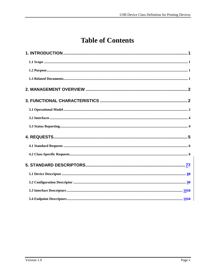## **Table of Contents**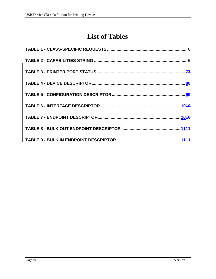## **List of Tables**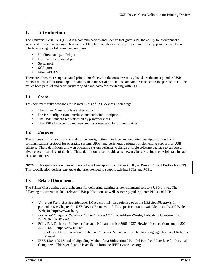## **1. Introduction**

The Universal Serial Bus (USB) is a communications architecture that gives a PC the ability to interconnect a variety of devices via a simple four-wire cable. One such device is the printer. Traditionally, printers have been interfaced using the following technologies:

- Unidirectional parallel port
- Bi-directional parallel port
- Serial port
- SCSI port
- Ethernet/LAN

There are other, more sophisticated printer interfaces, but the ones previously listed are the most popular. USB offers a much greater throughput capability than the serial port and is comparable in speed to the parallel port. This makes both parallel and serial printers good candidates for interfacing with USB.

#### **1.1 Scope**

This document fully describes the Printer Class of USB devices, including:

- The Printer Class subclass and protocol.
- Device, configuration, interface, and endpoint descriptors.
- The USB standard requests used by printer devices.
- The USB class-specific requests and responses used by printer devices.

#### **1.2 Purpose**

The purpose of this document is to describe configuration, interface, and endpoint descriptors as well as a communications protocol for operating system, BIOS, and peripheral designers implementing support for USB printers. These definitions allow an operating system designer to design a single software package to support a given class or subclass of device. These definitions also provide a framework for designing the peripherals in each class or subclass.

**Note** This specification does not define Page Description Languages (PDL) or Printer Control Protocols (PCP). This specification defines *interfaces* that are intended to support existing PDLs and PCPs.

#### **1.3 Related Documents**

The Printer Class defines an architecture for delivering existing printer-command sets to a USB printer. The following documents include relevant USB publications as well as some popular printer PDLs and PCPs:

- •
- *Universal Serial Bus Specification*, 1.0 revision 1.1 (also referred to as the *USB Specification*). In particular, see Chapter 9, "USB Device Framework." This specification is available on the World Wide Web site http://www.usb.org.
- *PostScript Language Reference Manual, Second Edition.* Addison-Wesley Publishing Company, Inc. ISBN: 0-201-18127-4.
- PCL / PJL Technical Reference Package. HP part number 5961-0937. Hewlett-Packard Company. 1-800- 227-8164 or http://www.hp.com.
	- Includes: PCL 5 Language Technical Reference Manual and Printer Job Language Technical Reference Manual
- IEEE 1284-1994 Standard Signaling Method for a Bidirectional Parallel Peripheral Interface for Personal Computers. This specification is available from the IEEE (www.ieee.org).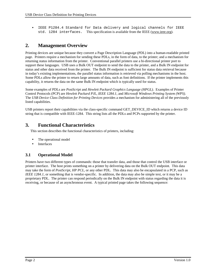IEEE P1284.4 Standard for Data delivery and logical channels for IEEE std. 1284 interfaces. This specification is available from the IEEE (www.ieee.org).

## **2. Management Overview**

Printing devices are unique because they convert a Page Description Language (PDL) into a human-readable printed page. Printers require a mechanism for sending these PDLs, in the form of data, to the printer; and a mechanism for returning status information from the printer. Conventional parallel printers use a bi-directional printer port to support these languages. USB uses a Bulk OUT endpoint to send the data to the printer, and a Bulk IN endpoint for status and other data received from the printer. The Bulk IN endpoint is sufficient for status data retrieval because in today's existing implementations, the parallel status information is retrieved via polling mechanisms in the host. Some PDLs allow the printer to return large amounts of data, such as font definitions. If the printer implements this capability, it returns the data on the same Bulk IN endpoint which is typically used for status.

Some examples of PDLs are *PostScript* and *Hewlett Packard Graphics Language (HPGL)*. Examples of Printer Control Protocols (PCP) are *Hewlett Packard PJL*, *IEEE 1284.1*, and *Microsoft Windows Printing System (WPS)*. The *USB Device Class Definition for Printing Devices* provides a mechanism for administering all of the previously listed capabilities.

USB printers report their capabilities via the class-specific command GET\_DEVICE\_ID which returns a device ID string that is compatible with IEEE-1284. This string lists all the PDLs and PCPs supported by the printer.

## **3. Functional Characteristics**

This section describes the functional characteristics of printers, including:

- The operational model
- **Interfaces**

#### **3.1 Operational Model**

Printers have two different types of commands: those that transfer data, and those that control the USB interface or printer interface. The host prints something on a printer by delivering data on the Bulk OUT endpoint. This data may take the form of *PostScript*, *HP PCL*, or any other PDL. This data may also be encapsulated in a PCP, such as *IEEE 1284.1*, or something that is vendor-specific. In addition, the data may also be simple text, or it may be a proprietary PDL. The printer can respond periodically on the Bulk IN endpoint with status regarding the data it is receiving, or because of an asynchronous event. A typical printed page takes the following sequence: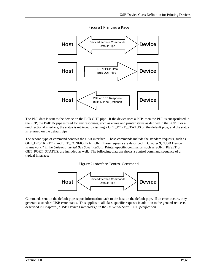

*Figure 1 Printing a Page*

The PDL data is sent to the device on the Bulk OUT pipe. If the device uses a PCP, then the PDL is encapsulated in the PCP; the Bulk IN pipe is used for any responses, such as errors and printer status as defined in the PCP. For a unidirectional interface, the status is retrieved by issuing a GET\_PORT\_STATUS on the default pipe, and the status is returned on the default pipe.

The second type of command controls the USB interface. These commands include the standard requests, such as GET\_DESCRIPTOR and SET\_CONFIGURATION. These requests are described in Chapter 9, "USB Device Framework," in the *Universal Serial Bus Specification*. Printer-specific commands, such as SOFT\_RESET or GET\_PORT\_STATUS, are included as well. The following diagram shows a control command sequence of a typical interface:

*Figure 2 Interface Control Command*



Commands sent on the default pipe report information back to the host on the default pipe. If an error occurs, they generate a standard USB error status. This applies to all class-specific requests in addition to the general requests described in Chapter 9, "USB Device Framework," in the *Universal Serial Bus Specification*.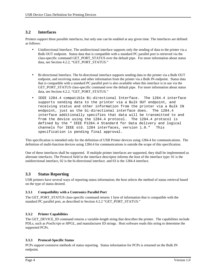#### **3.2 Interfaces**

Printers support three possible interfaces, but only one can be enabled at any given time. The interfaces are defined as follows:

- Unidirectional Interface. The unidirectional interface supports only the sending of data to the printer via a Bulk OUT endpoint. Status data that is compatible with a standard PC parallel port is retrieved via the class-specific command GET\_PORT\_STATUS over the default pipe. For more information about status data, see Section 4.2.2, "GET\_PORT\_STATUS."
- Bi-directional Interface. The bi-directional interface supports sending data to the printer via a Bulk OUT endpoint, and receiving status and other information from the printer via a Bulk IN endpoint. Status data that is compatible with a standard PC parallel port is also available when this interface is in use via the GET\_PORT\_STATUS class-specific command over the default pipe. For more information about status data, see Section 4.2.2, "GET\_PORT\_STATUS."
- IEEE 1284.4 compatible Bi-directional Interface. The 1284.4 interface supports sending data to the printer via a Bulk OUT endpoint, and receiving status and other information from the printer via a Bulk IN endpoint, just as the bi-directional interface does. The 1284.4 interface additionally specifies that data will be transmitted to and from the device using the 1284.4 protocol. The 1284.4 protocol is defined by the " IEEE P1284.4 Standard for Data delivery and logical channels for IEEE std. 1284 interfaces, version 1.0." This specification is pending final approval.

This specification is intended only for the definition of USB Printer devices using 1284.4 for communications. The definition of multi-function devices using 1284.4 for communications is outside the scope of this specification.

One of these interfaces shall be supported. If multiple printer interfaces are supported, they shall be implemented as alternate interfaces. The Protocol field in the interface descriptor informs the host of the interface type: 01 is the unidirectional interface, 02 is the bi-directional interface. and 03 is the 1284.4 interface.

#### **3.3 Status Reporting**

USB printers have several ways of reporting status information; the host selects the method of status retrieval based on the type of status desired.

#### **3.3.1 Compatibility with a Centronics Parallel Port**

The GET\_PORT\_STATUS class-specific command returns 1 byte of information that is compatible with the standard PC parallel port, as described in Section 4.2.2 "GET\_PORT\_STATUS."

#### **3.3.2 Printer Capabilities**

The GET\_DEVICE\_ID command returns a variable-length string that describes the printer. The capabilities include PDLs, such as *PostScript* or *HPGL*, and manufacturer ID strings. Host software reads this string to determine the supported PCPs.

#### **3.3.3 Protocol-Specific Status**

PCPs support extensive methods of status reporting. Status information for PCPs is returned on the Bulk IN endpoint.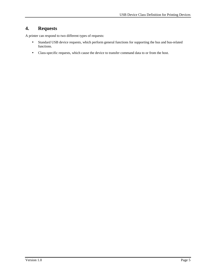## **4. Requests**

A printer can respond to two different types of requests:

- Standard USB device requests, which perform general functions for supporting the bus and bus-related functions.
- Class-specific requests, which cause the device to transfer command data to or from the host.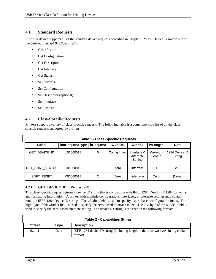#### **4.1 Standard Requests**

A printer device supports all of the standard device requests described in Chapter 9, "USB Device Framework," of the *Universal Serial Bus Specification*:

- Clear Feature
- Get Configuration
- Get Descriptor
- Get Interface
- Get Status
- Set Address
- Set Configuration
- Set Descriptor (optional)
- Set Interface
- **Set Feature**

#### **4.2 Class-Specific Requests**

Printers support a variety of class-specific requests. The following table is a comprehensive list of all the classspecific requests supported by printers:

| Label                  | bmRequestType | bRequest | wValue       | windex                              | wLength           | Data                     |
|------------------------|---------------|----------|--------------|-------------------------------------|-------------------|--------------------------|
| GET_DEVICE_ID          | 10100001B     | 0        | Config Index | Interface &<br>Alternate<br>Setting | Maximum<br>Length | 1284 Device ID<br>String |
| <b>GET_PORT_STATUS</b> | 10100001B     |          | Zero         | Interface                           |                   | <b>BYTE</b>              |
| <b>SOFT RESET</b>      | 00100001B     | 2        | Zero         | Interface                           | Zero              | [None]                   |

**Table 1 - Class-Specific Requests**

#### **4.2.1 GET\_DEVICE\_ID** (**bRequest = 0**)

This class-specific request returns a device ID string that is compatible with IEEE 1284. See IEEE 1284 for syntax and formatting information. A printer with multiple configurations, interfaces, or alternate settings may contain multiple IEEE 1284 device ID strings. The wValue field is used to specify a zero-based configuration index. The high-byte of the wIndex field is used to specify the zero-based interface index. The low-byte of the wIndex field is used to specify the zero-based alternate setting. The device ID string is returned in the following format:

| Offset | $\mathsf{Type}$ | <b>Description</b>                                                                            |  |  |  |
|--------|-----------------|-----------------------------------------------------------------------------------------------|--|--|--|
| 0…n-1  | Data            | IEEE 1284 device ID string (including length in the first two bytes in big endian<br>format). |  |  |  |

**Table 2 - Capabilities String**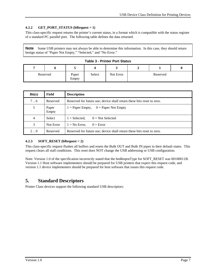#### **4.2.2 GET\_PORT\_STATUS (bRequest = 1)**

This class-specific request returns the printer's current status, in a format which is compatible with the status register of a standard PC parallel port. The following table defines the data returned.

**Note** Some USB printers may not always be able to determine this information. In this case, they should return benign status of "Paper Not Empty," "Selected," and "No Error."

| <b>Table 3 - Printer Port Status</b> |  |  |  |  |
|--------------------------------------|--|--|--|--|
|--------------------------------------|--|--|--|--|

|          | ັ              |        |           |          |  |
|----------|----------------|--------|-----------|----------|--|
| Reserved | Paper<br>Empty | Select | Not Error | Reserved |  |

| Bit(s)      | Field          | <b>Description</b>                                                     |  |  |  |
|-------------|----------------|------------------------------------------------------------------------|--|--|--|
| 7.6         | Reserved       | Reserved for future use; device shall return these bits reset to zero. |  |  |  |
| 5           | Paper<br>Empty | $1 =$ Paper Empty, $0 =$ Paper Not Empty                               |  |  |  |
| 4           | Select         | $0 = Not Selected$<br>$1 =$ Selected.                                  |  |  |  |
| 3           | Not Error      | $1 = No Error$ .<br>$0 = Error$                                        |  |  |  |
| $2 \dots 0$ | Reserved       | Reserved for future use; device shall return these bits reset to zero. |  |  |  |

#### **4.2.3 SOFT\_RESET (bRequest = 2)**

This class-specific request flushes all buffers and resets the Bulk OUT and Bulk IN pipes to their default states. This request clears all stall conditions. This reset does NOT change the USB addressing or USB configuration.

Note: Version 1.0 of the specification incorrectly stated that the bmReqestType for SOFT\_RESET was 00100011B. Version 1.1 Host software implementers should be prepared for USB printers that expect this request code, and version 1.1 device implementers should be prepared for host software that issues this request code.

### **5. Standard Descriptors**

Printer Class devices support the following standard USB descriptors: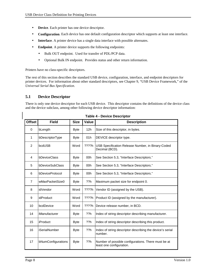- **Device**. Each printer has one device descriptor.
- **Configuration**. Each device has one default configuration descriptor which supports at least one interface.
- **Interface**. A printer device has a single data interface with possible alternates.
- **Endpoint**. A printer device supports the following endpoints:
	- Bulk OUT endpoint. Used for transfer of PDL/PCP data.
	- Optional Bulk IN endpoint. Provides status and other return information.

Printers have no class-specific descriptors.

The rest of this section describes the standard USB device, configuration, interface, and endpoint descriptors for printer devices. For information about other standard descriptors, see Chapter 9, "USB Device Framework," of the *Universal Serial Bus Specification*.

#### **5.1 Device Descriptor**

There is only one device descriptor for each USB device. This descriptor contains the definitions of the device class and the device subclass, among other following device descriptor information:

| <b>Offset</b>  | <b>Field</b>         | <b>Size</b> | Value | <b>Description</b>                                                              |
|----------------|----------------------|-------------|-------|---------------------------------------------------------------------------------|
| 0              | bLength              | <b>Byte</b> | 12h   | Size of this descriptor, in bytes.                                              |
| 1              | bDescriptorType      | <b>Byte</b> | 01h   | DEVICE descriptor type.                                                         |
| $\overline{2}$ | bcdUSB               | Word        | ????h | USB Specification Release Number, in Binary-Coded<br>Decimal (BCD).             |
| 4              | bDeviceClass         | <b>Byte</b> | 00h   | See Section 5.3, "Interface Descriptors."                                       |
| 5              | bDeviceSubClass      | <b>Byte</b> | 00h   | See Section 5.3, "Interface Descriptors."                                       |
| 6              | bDeviceProtocol      | <b>Byte</b> | 00h   | See Section 5.3, "Interface Descriptors."                                       |
| $\overline{7}$ | wMaxPacketSize0      | <b>Byte</b> | ??h   | Maximum packet size for endpoint 0.                                             |
| 8              | idVendor             | Word        | ????h | Vendor ID (assigned by the USB).                                                |
| 9              | idProduct            | Word        | ????h | Product ID (assigned by the manufacturer).                                      |
| 10             | bcdDevice            | Word        | ????h | Device release number, in BCD.                                                  |
| 14             | iManufacturer        | <b>Byte</b> | ??h   | Index of string descriptor describing manufacturer.                             |
| 15             | iProduct             | <b>Byte</b> | ??h   | Index of string descriptor describing this product.                             |
| 16             | <b>iSerialNumber</b> | <b>Byte</b> | ??h   | Index of string descriptor describing the device's serial<br>number.            |
| 17             | bNumConfigurations   | <b>Byte</b> | ??h   | Number of possible configurations. There must be at<br>least one configuration. |

**Table 4 - Device Descriptor**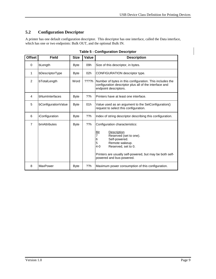## **5.2 Configuration Descriptor**

A printer has one default configuration descriptor. This descriptor has one interface, called the Data interface, which has one or two endpoints: Bulk OUT, and the optional Bulk IN.

| <b>Offset</b>  | <b>Field</b>        | <b>Size</b> | Value    | <b>Description</b>                                                                                                                                                                                                                                                |  |
|----------------|---------------------|-------------|----------|-------------------------------------------------------------------------------------------------------------------------------------------------------------------------------------------------------------------------------------------------------------------|--|
| 0              | bLength             | <b>Byte</b> | 09h      | Size of this descriptor, in bytes.                                                                                                                                                                                                                                |  |
| 1              | bDescriptorType     | <b>Byte</b> | 02h      | CONFIGURATION descriptor type.                                                                                                                                                                                                                                    |  |
| $\overline{2}$ | bTotalLength        | Word        | $??\%$ h | Number of bytes in this configuration. This includes the<br>configuration descriptor plus all of the interface and<br>endpoint descriptors.                                                                                                                       |  |
| 4              | bNumInterfaces      | <b>Byte</b> | ??h      | Printers have at least one interface.                                                                                                                                                                                                                             |  |
| 5              | bConfigurationValue | <b>Byte</b> | 01h      | Value used as an argument to the SetConfiguration()<br>request to select this configuration.                                                                                                                                                                      |  |
| 6              | iConfiguration      | <b>Byte</b> | ??h      | Index of string descriptor describing this configuration.                                                                                                                                                                                                         |  |
| $\overline{7}$ | bmAttributes        | <b>Byte</b> | ??h      | Configuration characteristics:<br>Description<br><u>Bit</u><br>7<br>Reserved (set to one).<br>Self-powered.<br>6<br>Remote wakeup.<br>5<br>$4 - 0$<br>Reserved, set to 0.<br>Printers are usually self-powered, but may be both self-<br>powered and bus-powered. |  |
| 8              | MaxPower            | <b>Byte</b> | ??h      | Maximum power consumption of this configuration.                                                                                                                                                                                                                  |  |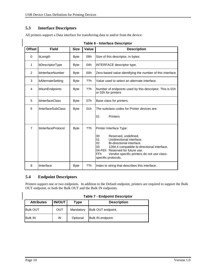## **5.3 Interface Descriptors**

All printers support a Data interface for transferring data to and/or from the device:

| <b>Offset</b>  | <b>Field</b>              | <b>Size</b> | Value | <b>Description</b>                                                                                                                                                                                                                                                                                         |  |
|----------------|---------------------------|-------------|-------|------------------------------------------------------------------------------------------------------------------------------------------------------------------------------------------------------------------------------------------------------------------------------------------------------------|--|
| 0              | bLength                   | <b>Byte</b> | 09h   | Size of this descriptor, in bytes.                                                                                                                                                                                                                                                                         |  |
| 1              | bDescriptorType           | <b>Byte</b> | 04h   | INTERFACE descriptor type.                                                                                                                                                                                                                                                                                 |  |
| $\overline{2}$ | bInterfaceNumber          | <b>Byte</b> | 00h   | Zero-based value identifying the number of this interface.                                                                                                                                                                                                                                                 |  |
| 3              | bAlternateSetting         | <b>Byte</b> | ??h   | Value used to select an alternate interface.                                                                                                                                                                                                                                                               |  |
| 4              | bNumEndpoints             | <b>Byte</b> | ??h   | Number of endpoints used by this descriptor. This is 01h.<br>or 02h for printers                                                                                                                                                                                                                           |  |
| 5              | bInterfaceClass           | <b>Byte</b> | 07h   | Base class for printers.                                                                                                                                                                                                                                                                                   |  |
| 6              | <i>ilnterfaceSubClass</i> | <b>Byte</b> | 01h   | The subclass codes for Printer devices are:                                                                                                                                                                                                                                                                |  |
|                |                           |             |       | <b>Printers</b><br>01                                                                                                                                                                                                                                                                                      |  |
| $\overline{7}$ | bInterfaceProtocol        | <b>Byte</b> | ??h   | Printer Interface Type:<br>$00\,$<br>Reserved, undefined.<br>01<br>Unidirectional interface.<br>02<br>Bi-directional interface.<br>03<br>1284.4 compatible bi-directional interface.<br>04-FEh Reserved for future use.<br><b>FFh</b><br>Vendor-specific printers do not use class-<br>specific protocols. |  |
| 8              | iInterface                | <b>Byte</b> | ??h   | Index to string that describes this interface.                                                                                                                                                                                                                                                             |  |

#### **Table 6 - Interface Descriptor**

#### **5.4 Endpoint Descriptors**

Printers support one or two endpoints. In addition to the Default endpoint, printers are required to support the Bulk OUT endpoint, or both the Bulk OUT and the Bulk IN endpoints.

|  |  |  | <b>Table 7 - Endpoint Descriptor</b> |
|--|--|--|--------------------------------------|
|--|--|--|--------------------------------------|

| <b>Attributes</b> | <b>IN/OUT</b> | Type      | <b>Description</b> |
|-------------------|---------------|-----------|--------------------|
| <b>Bulk OUT</b>   | OUT           | Mandatory | Bulk OUT endpoint. |
| <b>Bulk IN</b>    | IN            | Optional  | Bulk IN endpoint.  |